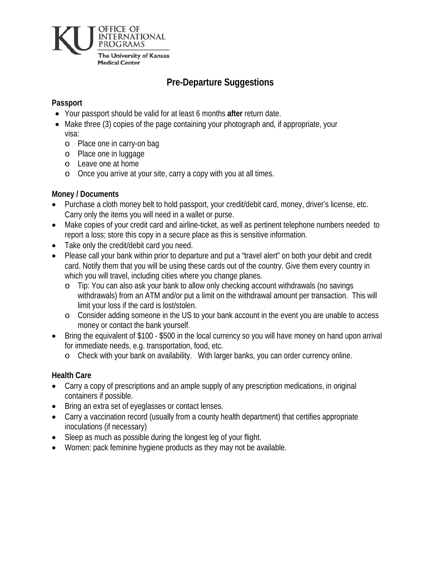

# **Pre-Departure Suggestions**

### **Passport**

- Your passport should be valid for at least 6 months **after** return date.
- Make three (3) copies of the page containing your photograph and, if appropriate, your visa:
	- o Place one in carry-on bag
	- o Place one in luggage
	- o Leave one at home
	- o Once you arrive at your site, carry a copy with you at all times.

### **Money / Documents**

- Purchase a cloth money belt to hold passport, your credit/debit card, money, driver's license, etc. Carry only the items you will need in a wallet or purse.
- Make copies of your credit card and airline-ticket, as well as pertinent telephone numbers needed to report a loss; store this copy in a secure place as this is sensitive information.
- Take only the credit/debit card you need.
- Please call your bank within prior to departure and put a "travel alert" on both your debit and credit card. Notify them that you will be using these cards out of the country. Give them every country in which you will travel, including cities where you change planes.
	- o Tip: You can also ask your bank to allow only checking account withdrawals (no savings withdrawals) from an ATM and/or put a limit on the withdrawal amount per transaction. This will limit your loss if the card is lost/stolen.
	- o Consider adding someone in the US to your bank account in the event you are unable to access money or contact the bank yourself.
- Bring the equivalent of \$100 \$500 in the local currency so you will have money on hand upon arrival for immediate needs, e.g. transportation, food, etc.
	- o Check with your bank on availability. With larger banks, you can order currency online.

### **Health Care**

- Carry a copy of prescriptions and an ample supply of any prescription medications, in original containers if possible.
- Bring an extra set of eyeglasses or contact lenses.
- Carry a vaccination record (usually from a county health department) that certifies appropriate inoculations (if necessary)
- Sleep as much as possible during the longest leg of your flight.
- Women: pack feminine hygiene products as they may not be available.